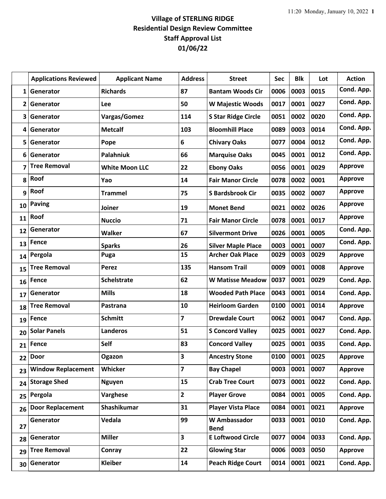## **Village of STERLING RIDGE Residential Design Review Committee Staff Approval List 01/06/22**

|    | <b>Applications Reviewed</b> | <b>Applicant Name</b> | <b>Address</b>          | <b>Street</b>                      | Sec  | <b>Blk</b> | Lot  | <b>Action</b>  |
|----|------------------------------|-----------------------|-------------------------|------------------------------------|------|------------|------|----------------|
| 1  | Generator                    | <b>Richards</b>       | 87                      | <b>Bantam Woods Cir</b>            | 0006 | 0003       | 0015 | Cond. App.     |
| 2  | Generator                    | Lee                   | 50                      | <b>W Majestic Woods</b>            | 0017 | 0001       | 0027 | Cond. App.     |
| 3  | Generator                    | Vargas/Gomez          | 114                     | <b>S Star Ridge Circle</b>         | 0051 | 0002       | 0020 | Cond. App.     |
| 4  | Generator                    | <b>Metcalf</b>        | 103                     | <b>Bloomhill Place</b>             | 0089 | 0003       | 0014 | Cond. App.     |
| 5  | Generator                    | Pope                  | 6                       | <b>Chivary Oaks</b>                | 0077 | 0004       | 0012 | Cond. App.     |
| 6  | Generator                    | Palahniuk             | 66                      | <b>Marquise Oaks</b>               | 0045 | 0001       | 0012 | Cond. App.     |
| 7  | <b>Tree Removal</b>          | <b>White Moon LLC</b> | 22                      | <b>Ebony Oaks</b>                  | 0056 | 0001       | 0029 | <b>Approve</b> |
| 8  | Roof                         | Yao                   | 14                      | <b>Fair Manor Circle</b>           | 0078 | 0002       | 0001 | <b>Approve</b> |
| 9  | Roof                         | <b>Trammel</b>        | 75                      | <b>S Bardsbrook Cir</b>            | 0035 | 0002       | 0007 | <b>Approve</b> |
| 10 | <b>Paving</b>                | Joiner                | 19                      | <b>Monet Bend</b>                  | 0021 | 0002       | 0026 | <b>Approve</b> |
| 11 | Roof                         | <b>Nuccio</b>         | 71                      | <b>Fair Manor Circle</b>           | 0078 | 0001       | 0017 | <b>Approve</b> |
| 12 | Generator                    | <b>Walker</b>         | 67                      | <b>Silvermont Drive</b>            | 0026 | 0001       | 0005 | Cond. App.     |
| 13 | Fence                        | <b>Sparks</b>         | 26                      | <b>Silver Maple Place</b>          | 0003 | 0001       | 0007 | Cond. App.     |
| 14 | Pergola                      | Puga                  | 15                      | <b>Archer Oak Place</b>            | 0029 | 0003       | 0029 | <b>Approve</b> |
| 15 | <b>Tree Removal</b>          | <b>Perez</b>          | 135                     | <b>Hansom Trail</b>                | 0009 | 0001       | 0008 | <b>Approve</b> |
| 16 | Fence                        | <b>Schelstrate</b>    | 62                      | <b>W Matisse Meadow</b>            | 0037 | 0001       | 0029 | Cond. App.     |
| 17 | Generator                    | <b>Mills</b>          | 18                      | <b>Wooded Path Place</b>           | 0043 | 0001       | 0014 | Cond. App.     |
| 18 | <b>Tree Removal</b>          | Pastrana              | 10                      | <b>Heirloom Garden</b>             | 0100 | 0001       | 0014 | <b>Approve</b> |
| 19 | <b>Fence</b>                 | <b>Schmitt</b>        | $\overline{\mathbf{z}}$ | <b>Drewdale Court</b>              | 0062 | 0001       | 0047 | Cond. App.     |
| 20 | <b>Solar Panels</b>          | <b>Landeros</b>       | 51                      | <b>S Concord Valley</b>            | 0025 | 0001       | 0027 | Cond. App.     |
| 21 | Fence                        | Self                  | 83                      | <b>Concord Valley</b>              | 0025 | 0001       | 0035 | Cond. App.     |
| 22 | <b>Door</b>                  | Ogazon                | 3                       | <b>Ancestry Stone</b>              | 0100 | 0001       | 0025 | <b>Approve</b> |
| 23 | <b>Window Replacement</b>    | Whicker               | $\overline{7}$          | <b>Bay Chapel</b>                  | 0003 | 0001       | 0007 | <b>Approve</b> |
| 24 | <b>Storage Shed</b>          | <b>Nguyen</b>         | 15                      | <b>Crab Tree Court</b>             | 0073 | 0001       | 0022 | Cond. App.     |
| 25 | Pergola                      | Varghese              | $\overline{2}$          | <b>Player Grove</b>                | 0084 | 0001       | 0005 | Cond. App.     |
| 26 | <b>Door Replacement</b>      | Shashikumar           | 31                      | <b>Player Vista Place</b>          | 0084 | 0001       | 0021 | <b>Approve</b> |
| 27 | Generator                    | Vedala                | 99                      | <b>W</b> Ambassador<br><b>Bend</b> | 0033 | 0001       | 0010 | Cond. App.     |
| 28 | Generator                    | <b>Miller</b>         | $\overline{\mathbf{3}}$ | <b>E Loftwood Circle</b>           | 0077 | 0004       | 0033 | Cond. App.     |
| 29 | <b>Tree Removal</b>          | Conray                | 22                      | <b>Glowing Star</b>                | 0006 | 0003       | 0050 | <b>Approve</b> |
| 30 | Generator                    | <b>Kleiber</b>        | 14                      | <b>Peach Ridge Court</b>           | 0014 | 0001       | 0021 | Cond. App.     |